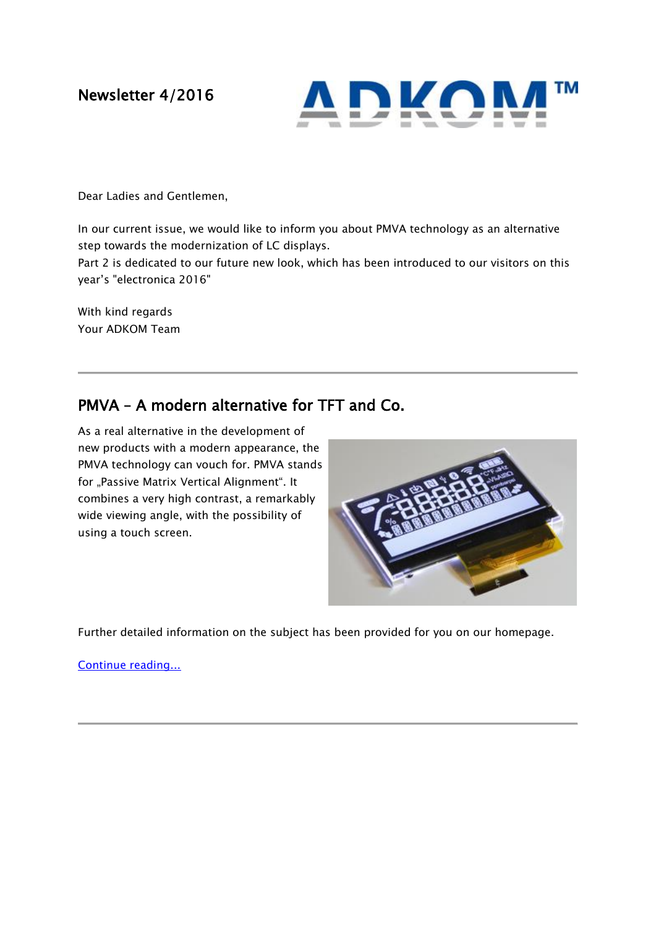Newsletter 4/2016



Dear Ladies and Gentlemen,

In our current issue, we would like to inform you about PMVA technology as an alternative step towards the modernization of LC displays.

Part 2 is dedicated to our future new look, which has been introduced to our visitors on this year's "electronica 2016"

With kind regards Your ADKOM Team

## PMVA – A modern alternative for TFT and Co.

As a real alternative in the development of new products with a modern appearance, the PMVA technology can vouch for. PMVA stands for "Passive Matrix Vertical Alignment". It combines a very high contrast, a remarkably wide viewing angle, with the possibility of using a touch screen.



Further detailed information on the subject has been provided for you on our homepage.

[Continue reading...](https://www.adkom.de/en/files/rund-um-displays/wissenswertes/pmva-e.pdf)